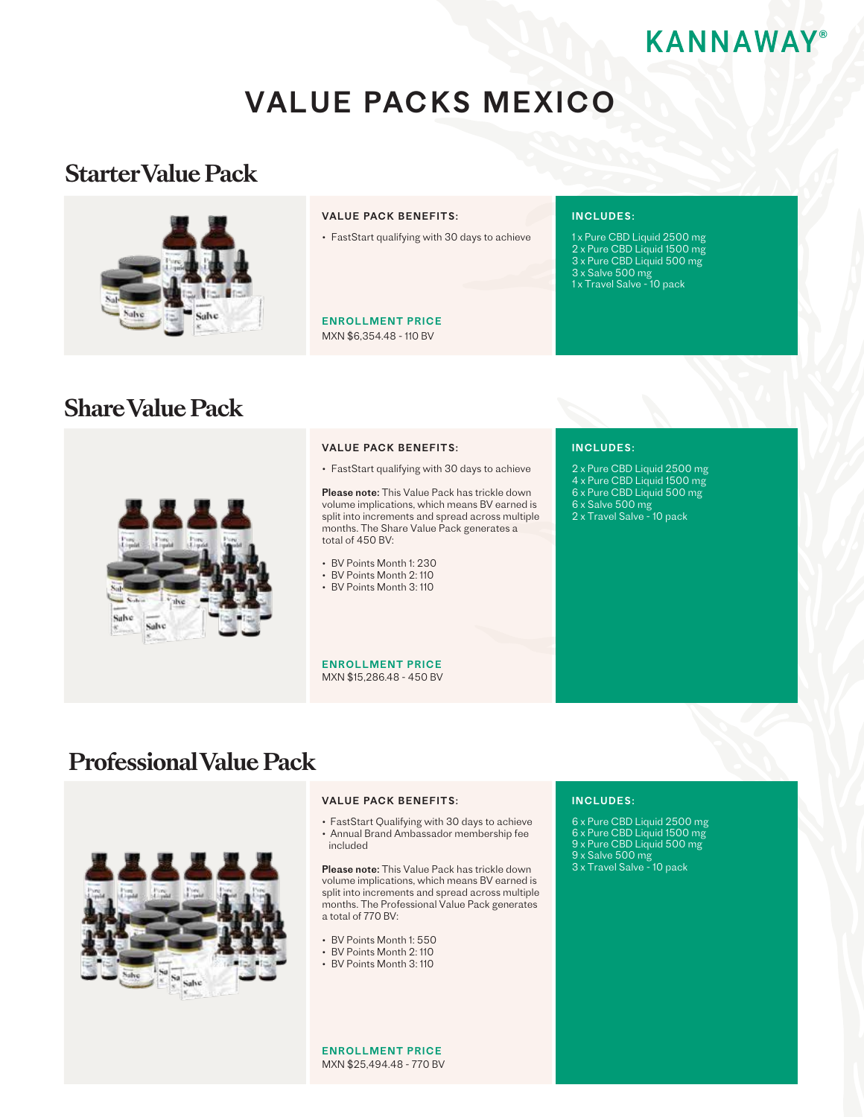# **®**

# VALUE PACKS MEXICO

## **Starter Value Pack**



### VALUE PACK BENEFITS:

• FastStart qualifying with 30 days to achieve

MXN \$6,354.48 - 110 BV ENROLLMENT PRICE

### INCLUDES:

1 x Pure CBD Liquid 2500 mg 2 x Pure CBD Liquid 1500 mg 3 x Pure CBD Liquid 500 mg 3 x Salve 500 mg 1 x Travel Salve - 10 pack

# **Share Value Pack**



#### VALUE PACK BENEFITS:

• FastStart qualifying with 30 days to achieve

Please note: This Value Pack has trickle down volume implications, which means BV earned is split into increments and spread across multiple months. The Share Value Pack generates a total of 450 BV:

• BV Points Month 1: 230

- BV Points Month 2: 110
- BV Points Month 3: 110

MXN \$15,286.48 - 450 BV ENROLLMENT PRICE

### INCLUDES:

- 2 x Pure CBD Liquid 2500 mg
- 4 x Pure CBD Liquid 1500 mg
- 6 x Pure CBD Liquid 500 mg 6 x Salve 500 mg
- 2 x Travel Salve 10 pack
- 

# **Professional Value Pack**



### VALUE PACK BENEFITS:

• FastStart Qualifying with 30 days to achieve • Annual Brand Ambassador membership fee included

Please note: This Value Pack has trickle down volume implications, which means BV earned is split into increments and spread across multiple months. The Professional Value Pack generates a total of 770 BV:

- BV Points Month 1: 550
- BV Points Month 2: 110
- BV Points Month 3: 110

### INCLUDES:

- 6 x Pure CBD Liquid 2500 mg
- 6 x Pure CBD Liquid 1500 mg
- 9 x Pure CBD Liquid 500 mg
- 9 x Salve 500 mg
- 3 x Travel Salve 10 pack

MXN \$25,494.48 - 770 BV ENROLLMENT PRICE